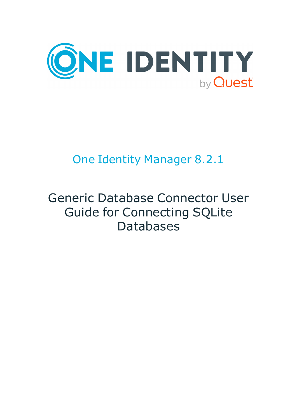

# One Identity Manager 8.2.1

# Generic Database Connector User Guide for Connecting SQLite Databases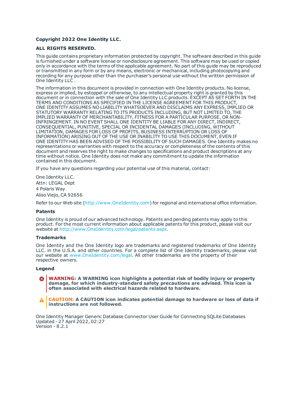#### **Copyright 2022 One Identity LLC.**

#### **ALL RIGHTS RESERVED.**

This guide contains proprietary information protected by copyright. The software described in this guide is furnished under a software license or nondisclosure agreement. This software may be used or copied only in accordance with the terms of the applicable agreement. No part of this guide may be reproduced or transmitted in any form or by any means, electronic or mechanical, including photocopying and recording for any purpose other than the purchaser's personal use without the written permission of One Identity LLC .

The information in this document is provided in connection with One Identity products. No license, express or implied, by estoppel or otherwise, to any intellectual property right is granted by this document or in connection with the sale of One Identity LLC products. EXCEPT AS SET FORTH IN THE TERMS AND CONDITIONS AS SPECIFIED IN THE LICENSE AGREEMENT FOR THIS PRODUCT, ONE IDENTITY ASSUMES NO LIABILITY WHATSOEVER AND DISCLAIMS ANY EXPRESS, IMPLIED OR STATUTORY WARRANTY RELATING TO ITS PRODUCTS INCLUDING, BUT NOT LIMITED TO, THE IMPLIED WARRANTY OF MERCHANTABILITY, FITNESS FOR A PARTICULAR PURPOSE, OR NON-INFRINGEMENT. IN NO EVENT SHALL ONE IDENTITY BE LIABLE FOR ANY DIRECT, INDIRECT, CONSEQUENTIAL, PUNITIVE, SPECIAL OR INCIDENTAL DAMAGES (INCLUDING, WITHOUT LIMITATION, DAMAGES FOR LOSS OF PROFITS, BUSINESS INTERRUPTION OR LOSS OF INFORMATION) ARISING OUT OF THE USE OR INABILITY TO USE THIS DOCUMENT, EVEN IF ONE IDENTITY HAS BEEN ADVISED OF THE POSSIBILITY OF SUCH DAMAGES. One Identity makes no representations or warranties with respect to the accuracy or completeness of the contents of this document and reserves the right to make changes to specifications and product descriptions at any time without notice. One Identity does not make any commitment to update the information contained in this document.

If you have any questions regarding your potential use of this material, contact:

One Identity LLC. Attn: LEGAL Dept 4 Polaris Way Aliso Viejo, CA 92656

Refer to our Web site ([http://www.OneIdentity.com](http://www.oneidentity.com/)) for regional and international office information.

#### **Patents**

One Identity is proud of our advanced technology. Patents and pending patents may apply to this product. For the most current information about applicable patents for this product, please visit our website at [http://www.OneIdentity.com/legal/patents.aspx](http://www.oneidentity.com/legal/patents.aspx).

#### **Trademarks**

One Identity and the One Identity logo are trademarks and registered trademarks of One Identity LLC. in the U.S.A. and other countries. For a complete list of One Identity trademarks, please visit our website at [www.OneIdentity.com/legal](http://www.oneidentity.com/legal). All other trademarks are the property of their respective owners.

#### **Legend**

- **WARNING: A WARNING icon highlights a potential risk of bodily injury or property damage, for which industry-standard safety precautions are advised. This icon is often associated with electrical hazards related to hardware.**
- **CAUTION: A CAUTION icon indicates potential damage to hardware or loss of data if** A **instructions are not followed.**

One Identity Manager Generic Database Connector User Guide for Connecting SQLite Databases Updated - 27 April 2022, 02:27 Version - 8.2.1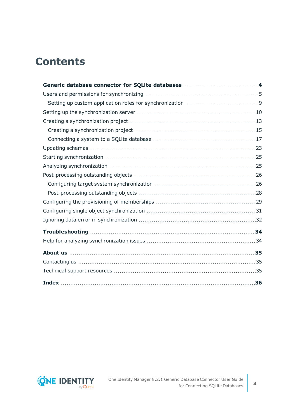## **Contents**

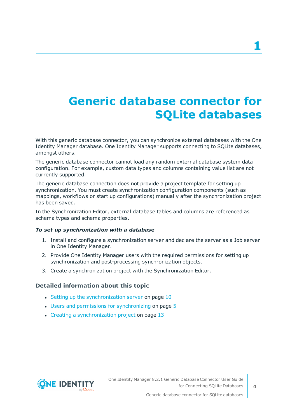# <span id="page-3-0"></span>**Generic database connector for SQLite databases**

With this generic database connector, you can synchronize external databases with the One Identity Manager database. One Identity Manager supports connecting to SQLite databases, amongst others.

The generic database connector cannot load any random external database system data configuration. For example, custom data types and columns containing value list are not currently supported.

The generic database connection does not provide a project template for setting up synchronization. You must create synchronization configuration components (such as mappings, workflows or start up configurations) manually after the synchronization project has been saved.

In the Synchronization Editor, external database tables and columns are referenced as schema types and schema properties.

### *To set up synchronization with a database*

- 1. Install and configure a synchronization server and declare the server as a Job server in One Identity Manager.
- 2. Provide One Identity Manager users with the required permissions for setting up synchronization and post-processing synchronization objects.
- 3. Create a synchronization project with the Synchronization Editor.

### **Detailed information about this topic**

- Setting up the [synchronization](#page-9-0) server on page  $10$
- $\cdot$  Users and permissions for [synchronizing](#page-4-0) on page  $5$
- $\cdot$  Creating a [synchronization](#page-12-0) project on page 13

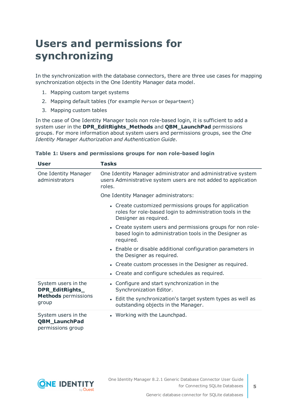# <span id="page-4-0"></span>**Users and permissions for synchronizing**

In the synchronization with the database connectors, there are three use cases for mapping synchronization objects in the One Identity Manager data model.

- 1. Mapping custom target systems
- 2. Mapping default tables (for example Person or Department)
- 3. Mapping custom tables

In the case of One Identity Manager tools non role-based login, it is sufficient to add a system user in the **DPR\_EditRights\_Methods** and **QBM\_LaunchPad** permissions groups. For more information about system users and permissions groups, see the *One Identity Manager Authorization and Authentication Guide*.

| User                                                             | Tasks                                                                                                                                        |  |  |
|------------------------------------------------------------------|----------------------------------------------------------------------------------------------------------------------------------------------|--|--|
| One Identity Manager<br>administrators                           | One Identity Manager administrator and administrative system<br>users Administrative system users are not added to application<br>roles.     |  |  |
|                                                                  | One Identity Manager administrators:                                                                                                         |  |  |
|                                                                  | • Create customized permissions groups for application<br>roles for role-based login to administration tools in the<br>Designer as required. |  |  |
|                                                                  | • Create system users and permissions groups for non role-<br>based login to administration tools in the Designer as<br>required.            |  |  |
|                                                                  | • Enable or disable additional configuration parameters in<br>the Designer as required.                                                      |  |  |
|                                                                  | • Create custom processes in the Designer as required.                                                                                       |  |  |
|                                                                  | • Create and configure schedules as required.                                                                                                |  |  |
| System users in the<br>DPR_EditRights_                           | • Configure and start synchronization in the<br>Synchronization Editor.                                                                      |  |  |
| <b>Methods</b> permissions<br>group                              | • Edit the synchronization's target system types as well as<br>outstanding objects in the Manager.                                           |  |  |
| System users in the<br><b>QBM_LaunchPad</b><br>permissions group | • Working with the Launchpad.                                                                                                                |  |  |

### **Table 1: Users and permissions groups for non role-based login**



**5**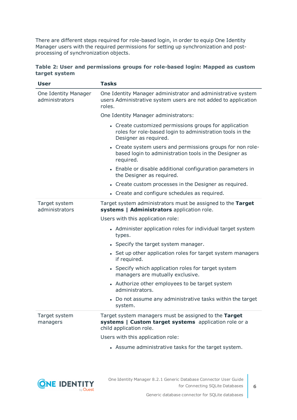There are different steps required for role-based login, in order to equip One Identity Manager users with the required permissions for setting up synchronization and postprocessing of synchronization objects.

|               | Table 2: User and permissions groups for role-based login: Mapped as custom |  |  |  |
|---------------|-----------------------------------------------------------------------------|--|--|--|
| target system |                                                                             |  |  |  |

| <b>User</b>                            | <b>Tasks</b>                                                                                                                                 |
|----------------------------------------|----------------------------------------------------------------------------------------------------------------------------------------------|
| One Identity Manager<br>administrators | One Identity Manager administrator and administrative system<br>users Administrative system users are not added to application<br>roles.     |
|                                        | One Identity Manager administrators:                                                                                                         |
|                                        | • Create customized permissions groups for application<br>roles for role-based login to administration tools in the<br>Designer as required. |
|                                        | • Create system users and permissions groups for non role-<br>based login to administration tools in the Designer as<br>required.            |
|                                        | • Enable or disable additional configuration parameters in<br>the Designer as required.                                                      |
|                                        | • Create custom processes in the Designer as required.                                                                                       |
|                                        | • Create and configure schedules as required.                                                                                                |
| Target system<br>administrators        | Target system administrators must be assigned to the Target<br>systems   Administrators application role.                                    |
|                                        | Users with this application role:                                                                                                            |
|                                        | • Administer application roles for individual target system<br>types.                                                                        |
|                                        | • Specify the target system manager.                                                                                                         |
|                                        | • Set up other application roles for target system managers<br>if required.                                                                  |
|                                        | • Specify which application roles for target system<br>managers are mutually exclusive.                                                      |
|                                        | • Authorize other employees to be target system<br>administrators.                                                                           |
|                                        | • Do not assume any administrative tasks within the target<br>system.                                                                        |
| Target system<br>managers              | Target system managers must be assigned to the Target<br>systems   Custom target systems application role or a<br>child application role.    |
|                                        | Users with this application role:                                                                                                            |
|                                        | • Assume administrative tasks for the target system.                                                                                         |

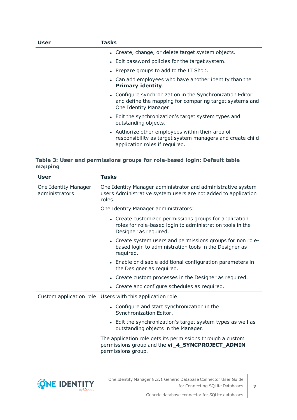| User | Tasks                                                                                                                                           |
|------|-------------------------------------------------------------------------------------------------------------------------------------------------|
|      | • Create, change, or delete target system objects.                                                                                              |
|      | • Edit password policies for the target system.                                                                                                 |
|      | • Prepare groups to add to the IT Shop.                                                                                                         |
|      | • Can add employees who have another identity than the<br><b>Primary identity.</b>                                                              |
|      | • Configure synchronization in the Synchronization Editor<br>and define the mapping for comparing target systems and<br>One Identity Manager.   |
|      | • Edit the synchronization's target system types and<br>outstanding objects.                                                                    |
|      | • Authorize other employees within their area of<br>responsibility as target system managers and create child<br>application roles if required. |

### **Table 3: User and permissions groups for role-based login: Default table mapping**

|                                        | <b>User</b> | <b>Tasks</b>                                                                                                                                 |
|----------------------------------------|-------------|----------------------------------------------------------------------------------------------------------------------------------------------|
| One Identity Manager<br>administrators |             | One Identity Manager administrator and administrative system<br>users Administrative system users are not added to application<br>roles.     |
|                                        |             | One Identity Manager administrators:                                                                                                         |
|                                        |             | • Create customized permissions groups for application<br>roles for role-based login to administration tools in the<br>Designer as required. |
|                                        |             | • Create system users and permissions groups for non role-<br>based login to administration tools in the Designer as<br>required.            |
|                                        |             | • Enable or disable additional configuration parameters in<br>the Designer as required.                                                      |
|                                        |             | • Create custom processes in the Designer as required.                                                                                       |
|                                        |             | • Create and configure schedules as required.                                                                                                |
|                                        |             | Custom application role Users with this application role:                                                                                    |
|                                        |             | • Configure and start synchronization in the<br>Synchronization Editor.                                                                      |
|                                        |             | • Edit the synchronization's target system types as well as<br>outstanding objects in the Manager.                                           |
|                                        |             | The application role gets its permissions through a custom<br>permissions group and the vi_4_SYNCPROJECT_ADMIN<br>permissions group.         |
|                                        |             |                                                                                                                                              |



**7**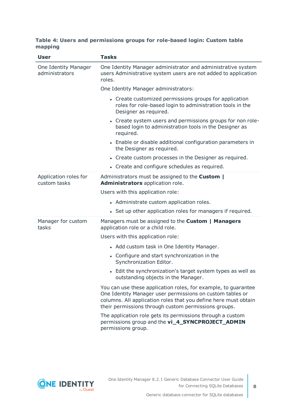### **Table 4: Users and permissions groups for role-based login: Custom table mapping**

| <b>User</b>                            | <b>Tasks</b>                                                                                                                                                                                                                                           |  |  |  |  |
|----------------------------------------|--------------------------------------------------------------------------------------------------------------------------------------------------------------------------------------------------------------------------------------------------------|--|--|--|--|
| One Identity Manager<br>administrators | One Identity Manager administrator and administrative system<br>users Administrative system users are not added to application<br>roles.                                                                                                               |  |  |  |  |
|                                        | One Identity Manager administrators:                                                                                                                                                                                                                   |  |  |  |  |
|                                        | • Create customized permissions groups for application<br>roles for role-based login to administration tools in the<br>Designer as required.                                                                                                           |  |  |  |  |
|                                        | • Create system users and permissions groups for non role-<br>based login to administration tools in the Designer as<br>required.                                                                                                                      |  |  |  |  |
|                                        | • Enable or disable additional configuration parameters in<br>the Designer as required.                                                                                                                                                                |  |  |  |  |
|                                        | • Create custom processes in the Designer as required.                                                                                                                                                                                                 |  |  |  |  |
|                                        | • Create and configure schedules as required.                                                                                                                                                                                                          |  |  |  |  |
| Application roles for<br>custom tasks  | Administrators must be assigned to the <b>Custom</b>  <br>Administrators application role.                                                                                                                                                             |  |  |  |  |
|                                        | Users with this application role:                                                                                                                                                                                                                      |  |  |  |  |
|                                        | • Administrate custom application roles.                                                                                                                                                                                                               |  |  |  |  |
|                                        | • Set up other application roles for managers if required.                                                                                                                                                                                             |  |  |  |  |
| Manager for custom<br>tasks            | Managers must be assigned to the Custom   Managers<br>application role or a child role.                                                                                                                                                                |  |  |  |  |
|                                        | Users with this application role:                                                                                                                                                                                                                      |  |  |  |  |
|                                        | • Add custom task in One Identity Manager.                                                                                                                                                                                                             |  |  |  |  |
|                                        | • Configure and start synchronization in the<br>Synchronization Editor.                                                                                                                                                                                |  |  |  |  |
|                                        | • Edit the synchronization's target system types as well as<br>outstanding objects in the Manager.                                                                                                                                                     |  |  |  |  |
|                                        | You can use these application roles, for example, to guarantee<br>One Identity Manager user permissions on custom tables or<br>columns. All application roles that you define here must obtain<br>their permissions through custom permissions groups. |  |  |  |  |
|                                        | The application role gets its permissions through a custom<br>permissions group and the vi_4_SYNCPROJECT_ADMIN<br>permissions group.                                                                                                                   |  |  |  |  |

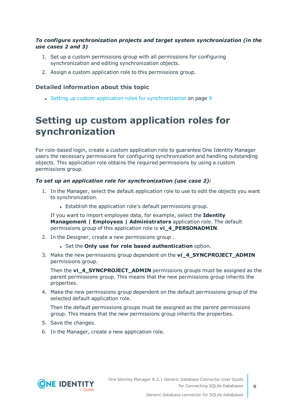### *To configure synchronization projects and target system synchronization (in the use cases 2 and 3)*

- 1. Set up a custom permissions group with all permissions for configuring synchronization and editing synchronization objects.
- 2. Assign a custom application role to this permissions group.

### **Detailed information about this topic**

• Setting up custom application roles for [synchronization](#page-8-0) on page 9

### <span id="page-8-0"></span>**Setting up custom application roles for synchronization**

For role-based login, create a custom application role to guarantee One Identity Manager users the necessary permissions for configuring synchronization and handling outstanding objects. This application role obtains the required permissions by using a custom permissions group.

### *To set up an application role for synchronization (use case 2):*

- 1. In the Manager, select the default application role to use to edit the objects you want to synchronization.
	- Establish the application role's default permissions group.

If you want to import employee data, for example, select the **Identity Management | Employees | Administrators** application role. The default permissions group of this application role is **vi\_4\_PERSONADMIN**.

- 2. In the Designer, create a new permissions group .
	- <sup>l</sup> Set the **Only use for role based authentication** option.
- 3. Make the new permissions group dependent on the **vi\_4\_SYNCPROJECT\_ADMIN** permissions group.

Then the **vi\_4\_SYNCPROJECT\_ADMIN** permissions groups must be assigned as the parent permissions group. This means that the new permissions group inherits the properties.

4. Make the new permissions group dependent on the default permissions group of the selected default application role.

Then the default permissions groups must be assigned as the parent permissions group. This means that the new permissions group inherits the properties.

- 5. Save the changes.
- 6. In the Manager, create a new application role.

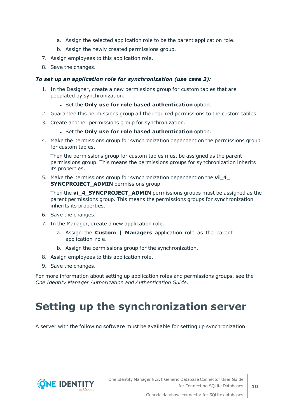- a. Assign the selected application role to be the parent application role.
- b. Assign the newly created permissions group.
- 7. Assign employees to this application role.
- 8. Save the changes.

### *To set up an application role for synchronization (use case 3):*

- 1. In the Designer, create a new permissions group for custom tables that are populated by synchronization.
	- <sup>l</sup> Set the **Only use for role based authentication** option.
- 2. Guarantee this permissions group all the required permissions to the custom tables.
- 3. Create another permissions group for synchronization.
	- <sup>l</sup> Set the **Only use for role based authentication** option.
- 4. Make the permissions group for synchronization dependent on the permissions group for custom tables.

Then the permissions group for custom tables must be assigned as the parent permissions group. This means the permissions groups for synchronization inherits its properties.

5. Make the permissions group for synchronization dependent on the **vi\_4\_ SYNCPROJECT\_ADMIN** permissions group.

Then the **vi\_4\_SYNCPROJECT\_ADMIN** permissions groups must be assigned as the parent permissions group. This means the permissions groups for synchronization inherits its properties.

- 6. Save the changes.
- 7. In the Manager, create a new application role.
	- a. Assign the **Custom | Managers** application role as the parent application role.
	- b. Assign the permissions group for the synchronization.
- 8. Assign employees to this application role.
- 9. Save the changes.

For more information about setting up application roles and permissions groups, see the *One Identity Manager Authorization and Authentication Guide*.

# <span id="page-9-0"></span>**Setting up the synchronization server**

A server with the following software must be available for setting up synchronization:

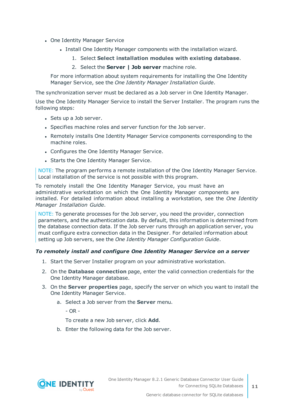- One Identity Manager Service
	- Install One Identity Manager components with the installation wizard.
		- 1. Select **Select installation modules with existing database**.
		- 2. Select the **Server | Job server** machine role.

For more information about system requirements for installing the One Identity Manager Service, see the *One Identity Manager Installation Guide*.

The synchronization server must be declared as a Job server in One Identity Manager.

Use the One Identity Manager Service to install the Server Installer. The program runs the following steps:

- Sets up a Job server.
- Specifies machine roles and server function for the Job server.
- Remotely installs One Identity Manager Service components corresponding to the machine roles.
- Configures the One Identity Manager Service.
- Starts the One Identity Manager Service.

NOTE: The program performs a remote installation of the One Identity Manager Service. Local installation of the service is not possible with this program.

To remotely install the One Identity Manager Service, you must have an administrative workstation on which the One Identity Manager components are installed. For detailed information about installing a workstation, see the *One Identity Manager Installation Guide*.

NOTE: To generate processes for the Job server, you need the provider, connection parameters, and the authentication data. By default, this information is determined from the database connection data. If the Job server runs through an application server, you must configure extra connection data in the Designer. For detailed information about setting up Job servers, see the *One Identity Manager Configuration Guide*.

### *To remotely install and configure One Identity Manager Service on a server*

- 1. Start the Server Installer program on your administrative workstation.
- 2. On the **Database connection** page, enter the valid connection credentials for the One Identity Manager database.
- 3. On the **Server properties** page, specify the server on which you want to install the One Identity Manager Service.
	- a. Select a Job server from the **Server** menu.

 $- OR -$ 

To create a new Job server, click **Add**.

b. Enter the following data for the Job server.

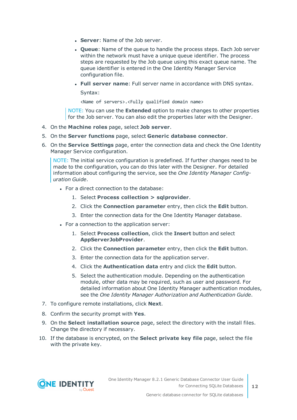- **Server: Name of the Job server.**
- **Queue**: Name of the queue to handle the process steps. Each Job server within the network must have a unique queue identifier. The process steps are requested by the Job queue using this exact queue name. The queue identifier is entered in the One Identity Manager Service configuration file.
- <sup>l</sup> **Full server name**: Full server name in accordance with DNS syntax.

Syntax:

<Name of servers>.<Fully qualified domain name>

NOTE: You can use the **Extended** option to make changes to other properties for the Job server. You can also edit the properties later with the Designer.

- 4. On the **Machine roles** page, select **Job server**.
- 5. On the **Server functions** page, select **Generic database connector**.
- 6. On the **Service Settings** page, enter the connection data and check the One Identity Manager Service configuration.

NOTE: The initial service configuration is predefined. If further changes need to be made to the configuration, you can do this later with the Designer. For detailed information about configuring the service, see the *One Identity Manager Configuration Guide*.

- For a direct connection to the database:
	- 1. Select **Process collection > sqlprovider**.
	- 2. Click the **Connection parameter** entry, then click the **Edit** button.
	- 3. Enter the connection data for the One Identity Manager database.
- For a connection to the application server:
	- 1. Select **Process collection**, click the **Insert** button and select **AppServerJobProvider**.
	- 2. Click the **Connection parameter** entry, then click the **Edit** button.
	- 3. Enter the connection data for the application server.
	- 4. Click the **Authentication data** entry and click the **Edit** button.
	- 5. Select the authentication module. Depending on the authentication module, other data may be required, such as user and password. For detailed information about One Identity Manager authentication modules, see the *One Identity Manager Authorization and Authentication Guide*.
- 7. To configure remote installations, click **Next**.
- 8. Confirm the security prompt with **Yes**.
- 9. On the **Select installation source** page, select the directory with the install files. Change the directory if necessary.
- 10. If the database is encrypted, on the **Select private key file** page, select the file with the private key.

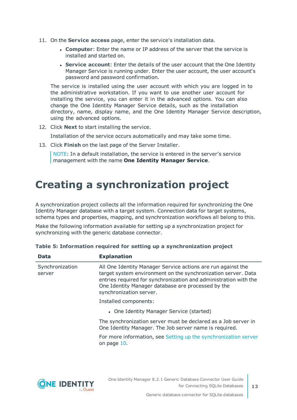- 11. On the **Service access** page, enter the service's installation data.
	- **Computer:** Enter the name or IP address of the server that the service is installed and started on.
	- **. Service account:** Enter the details of the user account that the One Identity Manager Service is running under. Enter the user account, the user account's password and password confirmation.

The service is installed using the user account with which you are logged in to the administrative workstation. If you want to use another user account for installing the service, you can enter it in the advanced options. You can also change the One Identity Manager Service details, such as the installation directory, name, display name, and the One Identity Manager Service description, using the advanced options.

12. Click **Next** to start installing the service.

Installation of the service occurs automatically and may take some time.

13. Click **Finish** on the last page of the Server Installer.

NOTE: In a default installation, the service is entered in the server's service management with the name **One Identity Manager Service**.

## <span id="page-12-0"></span>**Creating a synchronization project**

A synchronization project collects all the information required for synchronizing the One Identity Manager database with a target system. Connection data for target systems, schema types and properties, mapping, and synchronization workflows all belong to this.

Make the following information available for setting up a synchronization project for synchronizing with the generic database connector.

| Data                      | <b>Explanation</b>                                                                                                                                                                                                                                                                 |
|---------------------------|------------------------------------------------------------------------------------------------------------------------------------------------------------------------------------------------------------------------------------------------------------------------------------|
| Synchronization<br>server | All One Identity Manager Service actions are run against the<br>target system environment on the synchronization server. Data<br>entries required for synchronization and administration with the<br>One Identity Manager database are processed by the<br>synchronization server. |
|                           | Installed components:                                                                                                                                                                                                                                                              |
|                           | • One Identity Manager Service (started)                                                                                                                                                                                                                                           |
|                           | The synchronization server must be declared as a Job server in<br>One Identity Manager. The Job server name is required.                                                                                                                                                           |
|                           | For more information, see Setting up the synchronization server<br>on page 10.                                                                                                                                                                                                     |
|                           |                                                                                                                                                                                                                                                                                    |

|  |  | Table 5: Information required for setting up a synchronization project |  |
|--|--|------------------------------------------------------------------------|--|
|  |  |                                                                        |  |

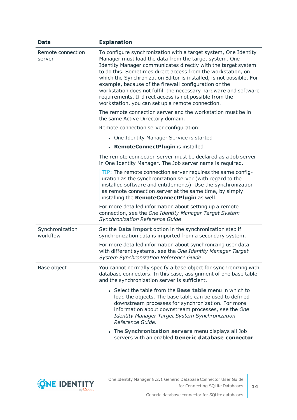| <b>Data</b>                 | <b>Explanation</b>                                                                                                                                                                                                                                                                                                                                                                                                                                                                                                                                                            |
|-----------------------------|-------------------------------------------------------------------------------------------------------------------------------------------------------------------------------------------------------------------------------------------------------------------------------------------------------------------------------------------------------------------------------------------------------------------------------------------------------------------------------------------------------------------------------------------------------------------------------|
| Remote connection<br>server | To configure synchronization with a target system, One Identity<br>Manager must load the data from the target system. One<br>Identity Manager communicates directly with the target system<br>to do this. Sometimes direct access from the workstation, on<br>which the Synchronization Editor is installed, is not possible. For<br>example, because of the firewall configuration or the<br>workstation does not fulfill the necessary hardware and software<br>requirements. If direct access is not possible from the<br>workstation, you can set up a remote connection. |
|                             | The remote connection server and the workstation must be in<br>the same Active Directory domain.                                                                                                                                                                                                                                                                                                                                                                                                                                                                              |
|                             | Remote connection server configuration:                                                                                                                                                                                                                                                                                                                                                                                                                                                                                                                                       |
|                             | • One Identity Manager Service is started                                                                                                                                                                                                                                                                                                                                                                                                                                                                                                                                     |
|                             | • RemoteConnectPlugin is installed                                                                                                                                                                                                                                                                                                                                                                                                                                                                                                                                            |
|                             | The remote connection server must be declared as a Job server<br>in One Identity Manager. The Job server name is required.                                                                                                                                                                                                                                                                                                                                                                                                                                                    |
|                             | TIP: The remote connection server requires the same config-<br>uration as the synchronization server (with regard to the<br>installed software and entitlements). Use the synchronization<br>as remote connection server at the same time, by simply<br>installing the RemoteConnectPlugin as well.                                                                                                                                                                                                                                                                           |
|                             | For more detailed information about setting up a remote<br>connection, see the One Identity Manager Target System<br>Synchronization Reference Guide.                                                                                                                                                                                                                                                                                                                                                                                                                         |
| Synchronization<br>workflow | Set the Data import option in the synchronization step if<br>synchronization data is imported from a secondary system.<br>For more detailed information about synchronizing user data<br>with different systems, see the One Identity Manager Target<br>System Synchronization Reference Guide.                                                                                                                                                                                                                                                                               |
| Base object                 | You cannot normally specify a base object for synchronizing with<br>database connectors. In this case, assignment of one base table<br>and the synchronization server is sufficient.<br>• Select the table from the <b>Base table</b> menu in which to<br>load the objects. The base table can be used to defined                                                                                                                                                                                                                                                             |
|                             | downstream processes for synchronization. For more<br>information about downstream processes, see the One<br>Identity Manager Target System Synchronization<br>Reference Guide.                                                                                                                                                                                                                                                                                                                                                                                               |
|                             | • The Synchronization servers menu displays all Job<br>servers with an enabled Generic database connector                                                                                                                                                                                                                                                                                                                                                                                                                                                                     |



**14**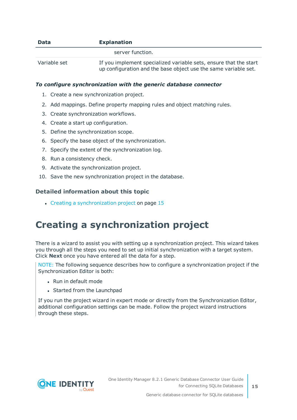| <b>Data</b>  | <b>Explanation</b>                                                                                                                   |
|--------------|--------------------------------------------------------------------------------------------------------------------------------------|
|              | server function.                                                                                                                     |
| Variable set | If you implement specialized variable sets, ensure that the start<br>up configuration and the base object use the same variable set. |

### *To configure synchronization with the generic database connector*

- 1. Create a new synchronization project.
- 2. Add mappings. Define property mapping rules and object matching rules.
- 3. Create synchronization workflows.
- 4. Create a start up configuration.
- 5. Define the synchronization scope.
- 6. Specify the base object of the synchronization.
- 7. Specify the extent of the synchronization log.
- 8. Run a consistency check.
- 9. Activate the synchronization project.
- 10. Save the new synchronization project in the database.

### **Detailed information about this topic**

• Creating a [synchronization](#page-14-0) project on page 15

### <span id="page-14-0"></span>**Creating a synchronization project**

There is a wizard to assist you with setting up a synchronization project. This wizard takes you through all the steps you need to set up initial synchronization with a target system. Click **Next** once you have entered all the data for a step.

NOTE: The following sequence describes how to configure a synchronization project if the Synchronization Editor is both:

- . Run in default mode
- Started from the Launchpad

If you run the project wizard in expert mode or directly from the Synchronization Editor, additional configuration settings can be made. Follow the project wizard instructions through these steps.

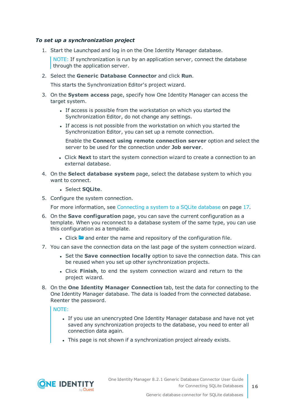### *To set up a synchronization project*

1. Start the Launchpad and log in on the One Identity Manager database.

NOTE: If synchronization is run by an application server, connect the database through the application server.

2. Select the **Generic Database Connector** and click **Run**.

This starts the Synchronization Editor's project wizard.

- 3. On the **System access** page, specify how One Identity Manager can access the target system.
	- If access is possible from the workstation on which you started the Synchronization Editor, do not change any settings.
	- If access is not possible from the workstation on which you started the Synchronization Editor, you can set up a remote connection.

Enable the **Connect using remote connection server** option and select the server to be used for the connection under **Job server**.

- <sup>l</sup> Click **Next** to start the system connection wizard to create a connection to an external database.
- 4. On the **Select database system** page, select the database system to which you want to connect.
	- **.** Select **SQLite**.
- 5. Configure the system connection.

For more [information,](#page-16-0) see Connecting a system to a SQLite database on page 17.

- 6. On the **Save configuration** page, you can save the current configuration as a template. When you reconnect to a database system of the same type, you can use this configuration as a template.
	- I Click **a** and enter the name and repository of the configuration file.
- 7. You can save the connection data on the last page of the system connection wizard.
	- <sup>l</sup> Set the **Save connection locally** option to save the connection data. This can be reused when you set up other synchronization projects.
	- <sup>l</sup> Click **Finish**, to end the system connection wizard and return to the project wizard.
- 8. On the **One Identity Manager Connection** tab, test the data for connecting to the One Identity Manager database. The data is loaded from the connected database. Reenter the password.

NOTE:

- If you use an unencrypted One Identity Manager database and have not yet saved any synchronization projects to the database, you need to enter all connection data again.
- . This page is not shown if a synchronization project already exists.

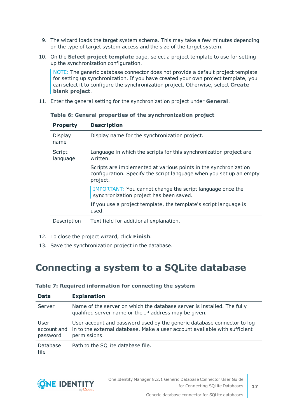- 9. The wizard loads the target system schema. This may take a few minutes depending on the type of target system access and the size of the target system.
- 10. On the **Select project template** page, select a project template to use for setting up the synchronization configuration.

NOTE: The generic database connector does not provide a default project template for setting up synchronization. If you have created your own project template, you can select it to configure the synchronization project. Otherwise, select **Create blank project**.

11. Enter the general setting for the synchronization project under **General**.

| <b>Property</b>    | <b>Description</b>                                                                                                                                  |
|--------------------|-----------------------------------------------------------------------------------------------------------------------------------------------------|
| Display<br>name    | Display name for the synchronization project.                                                                                                       |
| Script<br>language | Language in which the scripts for this synchronization project are<br>written.                                                                      |
|                    | Scripts are implemented at various points in the synchronization<br>configuration. Specify the script language when you set up an empty<br>project. |
|                    | IMPORTANT: You cannot change the script language once the<br>synchronization project has been saved.                                                |
|                    | If you use a project template, the template's script language is<br>used.                                                                           |
| Description        | Text field for additional explanation.                                                                                                              |

**Table 6: General properties of the synchronization project**

- 12. To close the project wizard, click **Finish**.
- <span id="page-16-0"></span>13. Save the synchronization project in the database.

### **Connecting a system to a SQLite database**

| <b>Data</b>                     | <b>Explanation</b>                                                                                                                                                    |
|---------------------------------|-----------------------------------------------------------------------------------------------------------------------------------------------------------------------|
| Server                          | Name of the server on which the database server is installed. The fully<br>qualified server name or the IP address may be given.                                      |
| User<br>account and<br>password | User account and password used by the generic database connector to log<br>in to the external database. Make a user account available with sufficient<br>permissions. |
| <b>Database</b><br>file         | Path to the SQLite database file.                                                                                                                                     |

### **Table 7: Required information for connecting the system**

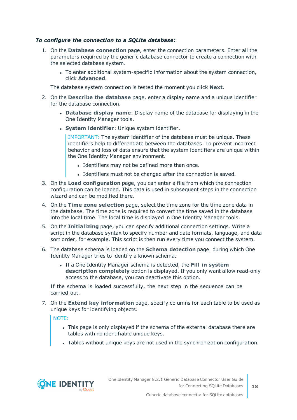### *To configure the connection to a SQLite database:*

- 1. On the **Database connection** page, enter the connection parameters. Enter all the parameters required by the generic database connector to create a connection with the selected database system.
	- To enter additional system-specific information about the system connection, click **Advanced**.

The database system connection is tested the moment you click **Next**.

- 2. On the **Describe the database** page, enter a display name and a unique identifier for the database connection.
	- <sup>l</sup> **Database display name**: Display name of the database for displaying in the One Identity Manager tools.
	- <sup>l</sup> **System identifier**: Unique system identifier.

IMPORTANT: The system identifier of the database must be unique. These identifiers help to differentiate between the databases. To prevent incorrect behavior and loss of data ensure that the system identifiers are unique within the One Identity Manager environment.

- Identifiers may not be defined more than once.
- Identifiers must not be changed after the connection is saved.
- 3. On the **Load configuration** page, you can enter a file from which the connection configuration can be loaded. This data is used in subsequent steps in the connection wizard and can be modified there.
- 4. On the **Time zone selection** page, select the time zone for the time zone data in the database. The time zone is required to convert the time saved in the database into the local time. The local time is displayed in One Identity Manager tools.
- 5. On the **Initializing** page, you can specify additional connection settings. Write a script in the database syntax to specify number and date formats, language, and data sort order, for example. This script is then run every time you connect the system.
- 6. The database schema is loaded on the **Schema detection** page. during which One Identity Manager tries to identify a known schema.
	- <sup>l</sup> If a One Identity Manager schema is detected, the **Fill in system description completely** option is displayed. If you only want allow read-only access to the database, you can deactivate this option.

If the schema is loaded successfully, the next step in the sequence can be carried out.

7. On the **Extend key information** page, specify columns for each table to be used as unique keys for identifying objects.

NOTE:

- This page is only displayed if the schema of the external database there are tables with no identifiable unique keys.
- Tables without unique keys are not used in the synchronization configuration.

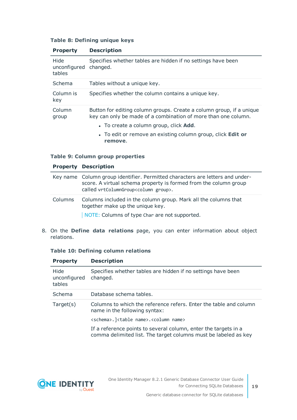### **Table 8: Defining unique keys**

| <b>Property</b>                | <b>Description</b>                                                                                                                     |
|--------------------------------|----------------------------------------------------------------------------------------------------------------------------------------|
| Hide<br>unconfigured<br>tables | Specifies whether tables are hidden if no settings have been<br>changed.                                                               |
| Schema                         | Tables without a unique key.                                                                                                           |
| Column is<br>key               | Specifies whether the column contains a unique key.                                                                                    |
| Column<br>group                | Button for editing column groups. Create a column group, if a unique<br>key can only be made of a combination of more than one column. |
|                                | • To create a column group, click <b>Add</b> .                                                                                         |
|                                | • To edit or remove an existing column group, click <b>Edit or</b><br>remove.                                                          |

### **Table 9: Column group properties**

|         | <b>Property Description</b>                                                                                                                                                                            |
|---------|--------------------------------------------------------------------------------------------------------------------------------------------------------------------------------------------------------|
|         | Key name Column group identifier. Permitted characters are letters and under-<br>score. A virtual schema property is formed from the column group<br>called vrtColumnGroup <column group="">.</column> |
| Columns | Columns included in the column group. Mark all the columns that<br>together make up the unique key.<br>NOTE: Columns of type Char are not supported.                                                   |

8. On the **Define data relations** page, you can enter information about object relations.

### **Table 10: Defining column relations**

| <b>Property</b>                | <b>Description</b>                                                                                                                 |
|--------------------------------|------------------------------------------------------------------------------------------------------------------------------------|
| Hide<br>unconfigured<br>tables | Specifies whether tables are hidden if no settings have been<br>changed.                                                           |
| Schema                         | Database schema tables.                                                                                                            |
| Target(s)                      | Columns to which the reference refers. Enter the table and column<br>name in the following syntax:                                 |
|                                | <schema>.]<table name="">.<column name=""></column></table></schema>                                                               |
|                                | If a reference points to several column, enter the targets in a<br>comma delimited list. The target columns must be labeled as key |

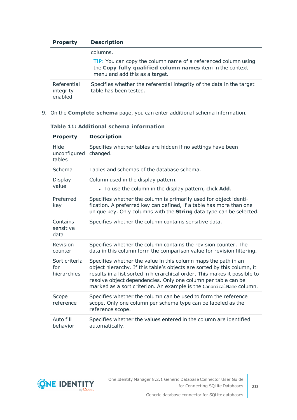| <b>Property</b>                     | <b>Description</b>                                                                                                                                            |
|-------------------------------------|---------------------------------------------------------------------------------------------------------------------------------------------------------------|
|                                     | columns.                                                                                                                                                      |
|                                     | TIP: You can copy the column name of a referenced column using<br>the Copy fully qualified column names item in the context<br>menu and add this as a target. |
| Referential<br>integrity<br>enabled | Specifies whether the referential integrity of the data in the target<br>table has been tested.                                                               |

9. On the **Complete schema** page, you can enter additional schema information.

| <b>Property</b>                     | <b>Description</b>                                                                                                                                                                                                                                                                                                                                             |
|-------------------------------------|----------------------------------------------------------------------------------------------------------------------------------------------------------------------------------------------------------------------------------------------------------------------------------------------------------------------------------------------------------------|
| Hide<br>unconfigured<br>tables      | Specifies whether tables are hidden if no settings have been<br>changed.                                                                                                                                                                                                                                                                                       |
| Schema                              | Tables and schemas of the database schema.                                                                                                                                                                                                                                                                                                                     |
| Display<br>value                    | Column used in the display pattern.<br>• To use the column in the display pattern, click Add.                                                                                                                                                                                                                                                                  |
| Preferred<br>key                    | Specifies whether the column is primarily used for object identi-<br>fication. A preferred key can defined, if a table has more than one<br>unique key. Only columns with the String data type can be selected.                                                                                                                                                |
| Contains<br>sensitive<br>data       | Specifies whether the column contains sensitive data.                                                                                                                                                                                                                                                                                                          |
| Revision<br>counter                 | Specifies whether the column contains the revision counter. The<br>data in this column form the comparison value for revision filtering.                                                                                                                                                                                                                       |
| Sort criteria<br>for<br>hierarchies | Specifies whether the value in this column maps the path in an<br>object hierarchy. If this table's objects are sorted by this column, it<br>results in a list sorted in hierarchical order. This makes it possible to<br>resolve object dependencies. Only one column per table can be<br>marked as a sort criterion. An example is the CanonicalName column. |
| Scope<br>reference                  | Specifies whether the column can be used to form the reference<br>scope. Only one column per schema type can be labeled as the<br>reference scope.                                                                                                                                                                                                             |
| Auto fill<br>behavior               | Specifies whether the values entered in the column are identified<br>automatically.                                                                                                                                                                                                                                                                            |

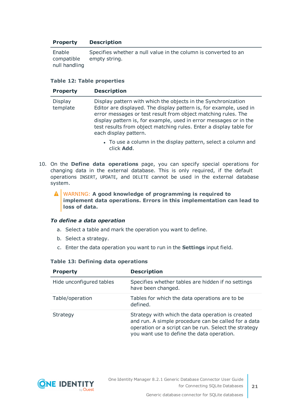### **Property Description**

Enable compatible null handling Specifies whether a null value in the column is converted to an empty string.

### **Table 12: Table properties**

| <b>Property</b>            | <b>Description</b>                                                                                                                                                                                                                                                                                                                                                       |
|----------------------------|--------------------------------------------------------------------------------------------------------------------------------------------------------------------------------------------------------------------------------------------------------------------------------------------------------------------------------------------------------------------------|
| <b>Display</b><br>template | Display pattern with which the objects in the Synchronization<br>Editor are displayed. The display pattern is, for example, used in<br>error messages or test result from object matching rules. The<br>display pattern is, for example, used in error messages or in the<br>test results from object matching rules. Enter a display table for<br>each display pattern. |
|                            | To use a column in the display pattern, solect a solumn and                                                                                                                                                                                                                                                                                                              |

- To use a column in the display pattern, select a column and click **Add**.
- 10. On the **Define data operations** page, you can specify special operations for changing data in the external database. This is only required, if the default operations INSERT, UPDATE, and DELETE cannot be used in the external database system.
	- WARNING: **A good knowledge of programming is required to** A **implement data operations. Errors in this implementation can lead to loss of data.**

#### *To define a data operation*

- a. Select a table and mark the operation you want to define.
- b. Select a strategy.
- c. Enter the data operation you want to run in the **Settings** input field.

### **Table 13: Defining data operations**

| <b>Property</b>          | <b>Description</b>                                                                                                                                                                                               |
|--------------------------|------------------------------------------------------------------------------------------------------------------------------------------------------------------------------------------------------------------|
| Hide unconfigured tables | Specifies whether tables are hidden if no settings<br>have been changed.                                                                                                                                         |
| Table/operation          | Tables for which the data operations are to be<br>defined.                                                                                                                                                       |
| Strategy                 | Strategy with which the data operation is created<br>and run. A simple procedure can be called for a data<br>operation or a script can be run. Select the strategy<br>you want use to define the data operation. |

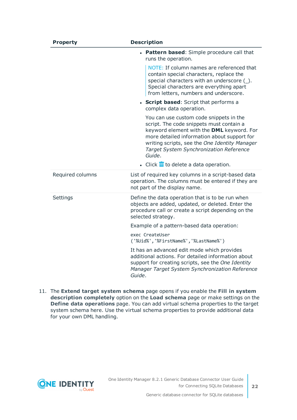| <b>Property</b>  | <b>Description</b>                                                                                                                                                                                                                                                                                                                                            |
|------------------|---------------------------------------------------------------------------------------------------------------------------------------------------------------------------------------------------------------------------------------------------------------------------------------------------------------------------------------------------------------|
|                  | • Pattern based: Simple procedure call that<br>runs the operation.                                                                                                                                                                                                                                                                                            |
|                  | NOTE: If column names are referenced that<br>contain special characters, replace the<br>special characters with an underscore $(\_)$ .<br>Special characters are everything apart<br>from letters, numbers and underscore.                                                                                                                                    |
|                  | • Script based: Script that performs a<br>complex data operation.                                                                                                                                                                                                                                                                                             |
|                  | You can use custom code snippets in the<br>script. The code snippets must contain a<br>keyword element with the DML keyword. For<br>more detailed information about support for<br>writing scripts, see the One Identity Manager<br>Target System Synchronization Reference<br>Guide.<br>$\bullet$ Click $\overline{\mathbb{II}}$ to delete a data operation. |
| Required columns | List of required key columns in a script-based data<br>operation. The columns must be entered if they are<br>not part of the display name.                                                                                                                                                                                                                    |
| Settings         | Define the data operation that is to be run when<br>objects are added, updated, or deleted. Enter the<br>procedure call or create a script depending on the<br>selected strategy.                                                                                                                                                                             |
|                  | Example of a pattern-based data operation:                                                                                                                                                                                                                                                                                                                    |
|                  | exec CreateUser<br>('%Uid%','%FirstName%','%LastName%')                                                                                                                                                                                                                                                                                                       |
|                  | It has an advanced edit mode which provides<br>additional actions. For detailed information about<br>support for creating scripts, see the One Identity<br>Manager Target System Synchronization Reference<br>Guide.                                                                                                                                          |

11. The **Extend target system schema** page opens if you enable the **Fill in system description completely** option on the **Load schema** page or make settings on the **Define data operations** page. You can add virtual schema properties to the target system schema here. Use the virtual schema properties to provide additional data for your own DML handling.

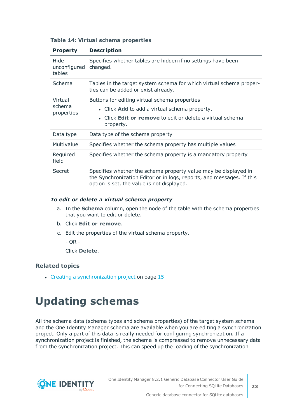| <b>Property</b>                 | <b>Description</b>                                                                                                                                                                     |
|---------------------------------|----------------------------------------------------------------------------------------------------------------------------------------------------------------------------------------|
| Hide<br>unconfigured<br>tables  | Specifies whether tables are hidden if no settings have been<br>changed.                                                                                                               |
| Schema                          | Tables in the target system schema for which virtual schema proper-<br>ties can be added or exist already.                                                                             |
| Virtual<br>schema<br>properties | Buttons for editing virtual schema properties<br>• Click Add to add a virtual schema property.<br>• Click <b>Edit or remove</b> to edit or delete a virtual schema<br>property.        |
| Data type                       | Data type of the schema property                                                                                                                                                       |
| Multivalue                      | Specifies whether the schema property has multiple values                                                                                                                              |
| Required<br>field               | Specifies whether the schema property is a mandatory property                                                                                                                          |
| Secret                          | Specifies whether the schema property value may be displayed in<br>the Synchronization Editor or in logs, reports, and messages. If this<br>option is set, the value is not displayed. |

### **Table 14: Virtual schema properties**

### *To edit or delete a virtual schema property*

- a. In the **Schema** column, open the node of the table with the schema properties that you want to edit or delete.
- b. Click **Edit or remove**.
- c. Edit the properties of the virtual schema property.

 $-$  OR  $-$ 

Click **Delete**.

### **Related topics**

<span id="page-22-0"></span>• Creating a [synchronization](#page-14-0) project on page 15

# **Updating schemas**

All the schema data (schema types and schema properties) of the target system schema and the One Identity Manager schema are available when you are editing a synchronization project. Only a part of this data is really needed for configuring synchronization. If a synchronization project is finished, the schema is compressed to remove unnecessary data from the synchronization project. This can speed up the loading of the synchronization

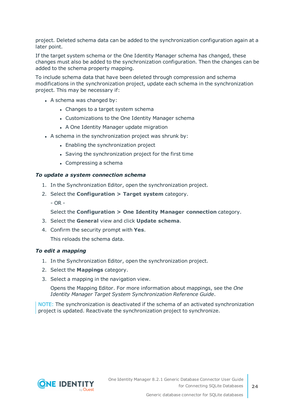project. Deleted schema data can be added to the synchronization configuration again at a later point.

If the target system schema or the One Identity Manager schema has changed, these changes must also be added to the synchronization configuration. Then the changes can be added to the schema property mapping.

To include schema data that have been deleted through compression and schema modifications in the synchronization project, update each schema in the synchronization project. This may be necessary if:

- A schema was changed by:
	- Changes to a target system schema
	- Customizations to the One Identity Manager schema
	- A One Identity Manager update migration
- $\bullet$  A schema in the synchronization project was shrunk by:
	- Enabling the synchronization project
	- Saving the synchronization project for the first time
	- $\bullet$  Compressing a schema

### *To update a system connection schema*

- 1. In the Synchronization Editor, open the synchronization project.
- 2. Select the **Configuration > Target system** category.
	- OR -

### Select the **Configuration > One Identity Manager connection** category.

- 3. Select the **General** view and click **Update schema**.
- 4. Confirm the security prompt with **Yes**. This reloads the schema data.

### *To edit a mapping*

- 1. In the Synchronization Editor, open the synchronization project.
- 2. Select the **Mappings** category.
- 3. Select a mapping in the navigation view.

Opens the Mapping Editor. For more information about mappings, see the *One Identity Manager Target System Synchronization Reference Guide*.

NOTE: The synchronization is deactivated if the schema of an activated synchronization project is updated. Reactivate the synchronization project to synchronize.

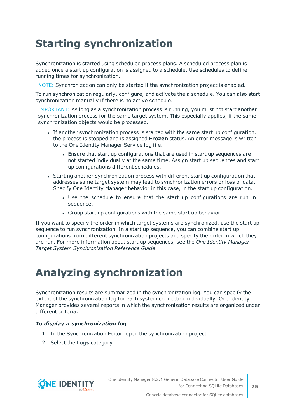# <span id="page-24-0"></span>**Starting synchronization**

Synchronization is started using scheduled process plans. A scheduled process plan is added once a start up configuration is assigned to a schedule. Use schedules to define running times for synchronization.

NOTE: Synchronization can only be started if the synchronization project is enabled.

To run synchronization regularly, configure, and activate the a schedule. You can also start synchronization manually if there is no active schedule.

IMPORTANT: As long as a synchronization process is running, you must not start another synchronization process for the same target system. This especially applies, if the same synchronization objects would be processed.

- If another synchronization process is started with the same start up configuration, the process is stopped and is assigned **Frozen** status. An error message is written to the One Identity Manager Service log file.
	- Ensure that start up configurations that are used in start up sequences are not started individually at the same time. Assign start up sequences and start up configurations different schedules.
- Starting another synchronization process with different start up configuration that addresses same target system may lead to synchronization errors or loss of data. Specify One Identity Manager behavior in this case, in the start up configuration.
	- Use the schedule to ensure that the start up configurations are run in sequence.
	- Group start up configurations with the same start up behavior.

If you want to specify the order in which target systems are synchronized, use the start up sequence to run synchronization. In a start up sequence, you can combine start up configurations from different synchronization projects and specify the order in which they are run. For more information about start up sequences, see the *One Identity Manager Target System Synchronization Reference Guide*.

# <span id="page-24-1"></span>**Analyzing synchronization**

Synchronization results are summarized in the synchronization log. You can specify the extent of the synchronization log for each system connection individually. One Identity Manager provides several reports in which the synchronization results are organized under different criteria.

### *To display a synchronization log*

- 1. In the Synchronization Editor, open the synchronization project.
- 2. Select the **Logs** category.

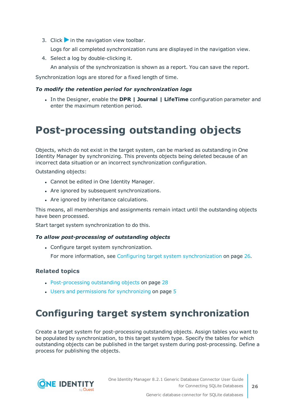3. Click in the navigation view toolbar.

Logs for all completed synchronization runs are displayed in the navigation view.

4. Select a log by double-clicking it.

An analysis of the synchronization is shown as a report. You can save the report.

Synchronization logs are stored for a fixed length of time.

### *To modify the retention period for synchronization logs*

<sup>l</sup> In the Designer, enable the **DPR | Journal | LifeTime** configuration parameter and enter the maximum retention period.

### <span id="page-25-0"></span>**Post-processing outstanding objects**

Objects, which do not exist in the target system, can be marked as outstanding in One Identity Manager by synchronizing. This prevents objects being deleted because of an incorrect data situation or an incorrect synchronization configuration.

Outstanding objects:

- Cannot be edited in One Identity Manager.
- Are ignored by subsequent synchronizations.
- Are ignored by inheritance calculations.

This means, all memberships and assignments remain intact until the outstanding objects have been processed.

Start target system synchronization to do this.

#### *To allow post-processing of outstanding objects*

• Configure target system synchronization.

For more information, see Configuring target system [synchronization](#page-25-1) on page 26.

### **Related topics**

- [Post-processing](#page-27-0) outstanding objects on page 28
- $\cdot$  Users and permissions for [synchronizing](#page-4-0) on page 5

### <span id="page-25-1"></span>**Configuring target system synchronization**

Create a target system for post-processing outstanding objects. Assign tables you want to be populated by synchronization, to this target system type. Specify the tables for which outstanding objects can be published in the target system during post-processing. Define a process for publishing the objects.

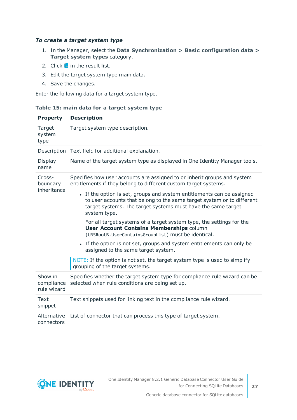### *To create a target system type*

- 1. In the Manager, select the **Data Synchronization > Basic configuration data > Target system types** category.
- 2. Click  $\frac{1}{1}$  in the result list.
- 3. Edit the target system type main data.
- 4. Save the changes.

Enter the following data for a target system type.

### **Table 15: main data for a target system type**

| <b>Property</b>                      | <b>Description</b>                                                                                                                                                                                                               |
|--------------------------------------|----------------------------------------------------------------------------------------------------------------------------------------------------------------------------------------------------------------------------------|
| Target<br>system<br>type             | Target system type description.                                                                                                                                                                                                  |
|                                      | Description Text field for additional explanation.                                                                                                                                                                               |
| Display<br>name                      | Name of the target system type as displayed in One Identity Manager tools.                                                                                                                                                       |
| Cross-<br>boundary<br>inheritance    | Specifies how user accounts are assigned to or inherit groups and system<br>entitlements if they belong to different custom target systems.                                                                                      |
|                                      | • If the option is set, groups and system entitlements can be assigned<br>to user accounts that belong to the same target system or to different<br>target systems. The target systems must have the same target<br>system type. |
|                                      | For all target systems of a target system type, the settings for the<br><b>User Account Contains Memberships column</b><br>(UNSRootB.UserContainsGroupList) must be identical.                                                   |
|                                      | • If the option is not set, groups and system entitlements can only be<br>assigned to the same target system.                                                                                                                    |
|                                      | NOTE: If the option is not set, the target system type is used to simplify<br>grouping of the target systems.                                                                                                                    |
| Show in<br>compliance<br>rule wizard | Specifies whether the target system type for compliance rule wizard can be<br>selected when rule conditions are being set up.                                                                                                    |
| Text<br>snippet                      | Text snippets used for linking text in the compliance rule wizard.                                                                                                                                                               |
| Alternative<br>connectors            | List of connector that can process this type of target system.                                                                                                                                                                   |

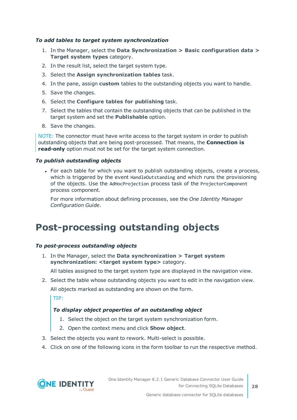### *To add tables to target system synchronization*

- 1. In the Manager, select the **Data Synchronization > Basic configuration data > Target system types** category.
- 2. In the result list, select the target system type.
- 3. Select the **Assign synchronization tables** task.
- 4. In the pane, assign **custom** tables to the outstanding objects you want to handle.
- 5. Save the changes.
- 6. Select the **Configure tables for publishing** task.
- 7. Select the tables that contain the outstanding objects that can be published in the target system and set the **Publishable** option.
- 8. Save the changes.

NOTE: The connector must have write access to the target system in order to publish outstanding objects that are being post-processed. That means, the **Connection is read-only** option must not be set for the target system connection.

### *To publish outstanding objects*

• For each table for which you want to publish outstanding objects, create a process, which is triggered by the event HandleOutstanding and which runs the provisioning of the objects. Use the AdHocProjection process task of the ProjectorComponent process component.

For more information about defining processes, see the *One Identity Manager Configuration Guide*.

### <span id="page-27-0"></span>**Post-processing outstanding objects**

### *To post-process outstanding objects*

1. In the Manager, select the **Data synchronization > Target system synchronization: <target system type>** category.

All tables assigned to the target system type are displayed in the navigation view.

2. Select the table whose outstanding objects you want to edit in the navigation view. All objects marked as outstanding are shown on the form.

TIP:

### *To display object properties of an outstanding object*

- 1. Select the object on the target system synchronization form.
- 2. Open the context menu and click **Show object**.
- 3. Select the objects you want to rework. Multi-select is possible.
- 4. Click on one of the following icons in the form toolbar to run the respective method.

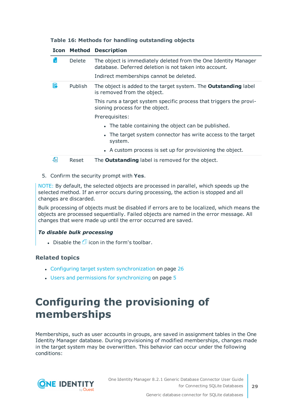|  |  |  |  | Table 16: Methods for handling outstanding objects |  |
|--|--|--|--|----------------------------------------------------|--|
|--|--|--|--|----------------------------------------------------|--|

|     |               | <b>Icon Method Description</b>                                                                                            |  |  |
|-----|---------------|---------------------------------------------------------------------------------------------------------------------------|--|--|
| ľхl | <b>Delete</b> | The object is immediately deleted from the One Identity Manager<br>database. Deferred deletion is not taken into account. |  |  |
|     |               | Indirect memberships cannot be deleted.                                                                                   |  |  |
| Б   | Publish       | The object is added to the target system. The <b>Outstanding</b> label<br>is removed from the object.                     |  |  |
|     |               | This runs a target system specific process that triggers the provi-<br>sioning process for the object.                    |  |  |
|     |               | Prerequisites:                                                                                                            |  |  |
|     |               | • The table containing the object can be published.                                                                       |  |  |
|     |               | • The target system connector has write access to the target<br>system.                                                   |  |  |
|     |               | • A custom process is set up for provisioning the object.                                                                 |  |  |
| Æ   | Reset         | The <b>Outstanding</b> label is removed for the object.                                                                   |  |  |

### 5. Confirm the security prompt with **Yes**.

NOTE: By default, the selected objects are processed in parallel, which speeds up the selected method. If an error occurs during processing, the action is stopped and all changes are discarded.

Bulk processing of objects must be disabled if errors are to be localized, which means the objects are processed sequentially. Failed objects are named in the error message. All changes that were made up until the error occurred are saved.

### *To disable bulk processing*

. Disable the  $\mathbb{D}$  icon in the form's toolbar.

### **Related topics**

- Configuring target system [synchronization](#page-25-1) on page 26
- $\cdot$  Users and permissions for [synchronizing](#page-4-0) on page 5

## <span id="page-28-0"></span>**Configuring the provisioning of memberships**

Memberships, such as user accounts in groups, are saved in assignment tables in the One Identity Manager database. During provisioning of modified memberships, changes made in the target system may be overwritten. This behavior can occur under the following conditions:

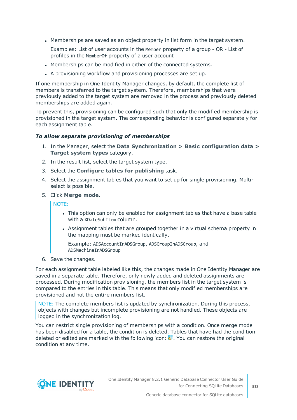• Memberships are saved as an object property in list form in the target system.

Examples: List of user accounts in the Member property of a group - OR - List of profiles in the MemberOf property of a user account

- Memberships can be modified in either of the connected systems.
- A provisioning workflow and provisioning processes are set up.

If one membership in One Identity Manager changes, by default, the complete list of members is transferred to the target system. Therefore, memberships that were previously added to the target system are removed in the process and previously deleted memberships are added again.

To prevent this, provisioning can be configured such that only the modified membership is provisioned in the target system. The corresponding behavior is configured separately for each assignment table.

#### *To allow separate provisioning of memberships*

- 1. In the Manager, select the **Data Synchronization > Basic configuration data > Target system types** category.
- 2. In the result list, select the target system type.
- 3. Select the **Configure tables for publishing** task.
- 4. Select the assignment tables that you want to set up for single provisioning. Multiselect is possible.
- 5. Click **Merge mode**.

NOTE:

- This option can only be enabled for assignment tables that have a base table with a XDateSubItem column.
- Assignment tables that are grouped together in a virtual schema property in the mapping must be marked identically.

Example: ADSAccountInADSGroup, ADSGroupInADSGroup, and ADSMachineInADSGroup

6. Save the changes.

For each assignment table labeled like this, the changes made in One Identity Manager are saved in a separate table. Therefore, only newly added and deleted assignments are processed. During modification provisioning, the members list in the target system is compared to the entries in this table. This means that only modified memberships are provisioned and not the entire members list.

NOTE: The complete members list is updated by synchronization. During this process, objects with changes but incomplete provisioning are not handled. These objects are logged in the synchronization log.

You can restrict single provisioning of memberships with a condition. Once merge mode has been disabled for a table, the condition is deleted. Tables that have had the condition deleted or edited are marked with the following icon:  $\mathbb{E}$ . You can restore the original condition at any time.

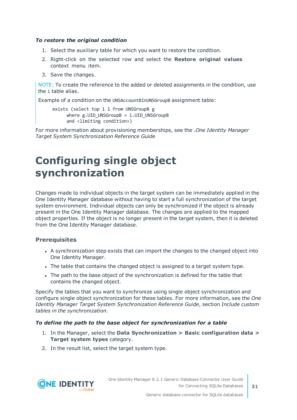### *To restore the original condition*

- 1. Select the auxiliary table for which you want to restore the condition.
- 2. Right-click on the selected row and select the **Restore original values** context menu item.
- 3. Save the changes.

NOTE: To create the reference to the added or deleted assignments in the condition, use the i table alias.

Example of a condition on the UNSAccountBInUNSGroupB assignment table:

```
exists (select top 1 1 from UNSGroupB g
where g.UID UNSGroupB = i.UID UNSGroupB
and <limiting condition>)
```
For more information about provisioning memberships, see the .*One Identity Manager Target System Synchronization Reference Guide*

### <span id="page-30-0"></span>**Configuring single object synchronization**

Changes made to individual objects in the target system can be immediately applied in the One Identity Manager database without having to start a full synchronization of the target system environment. Individual objects can only be synchronized if the object is already present in the One Identity Manager database. The changes are applied to the mapped object properties. If the object is no longer present in the target system, then it is deleted from the One Identity Manager database.

### **Prerequisites**

- A synchronization step exists that can import the changes to the changed object into One Identity Manager.
- The table that contains the changed object is assigned to a target system type.
- The path to the base object of the synchronization is defined for the table that contains the changed object.

Specify the tables that you want to synchronize using single object synchronization and configure single object synchronization for these tables. For more information, see the *One Identity Manager Target System Synchronization Reference Guide*, section *Include custom tables in the synchronization*.

### *To define the path to the base object for synchronization for a table*

- 1. In the Manager, select the **Data Synchronization > Basic configuration data > Target system types** category.
- 2. In the result list, select the target system type.

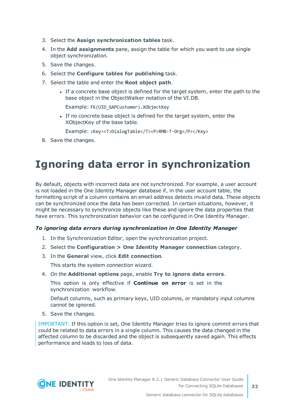- 3. Select the **Assign synchronization tables** task.
- 4. In the **Add assignments** pane, assign the table for which you want to use single object synchronization.
- 5. Save the changes.
- 6. Select the **Configure tables for publishing** task.
- 7. Select the table and enter the **Root object path**.
	- If a concrete base object is defined for the target system, enter the path to the base object in the ObjectWalker notation of the VI.DB.

Example: FK(UID\_GAPCustomer).XObjectKey

If no concrete base object is defined for the target system, enter the XObjectKey of the base table.

Example: <Key><T>DialogTable</T><P>RMB-T-Org</P></Key>

<span id="page-31-0"></span>8. Save the changes.

## **Ignoring data error in synchronization**

By default, objects with incorrect data are not synchronized. For example, a user account is not loaded in the One Identity Manager database if, in the user account table, the formatting script of a column contains an email address detects invalid data. These objects can be synchronized once the data has been corrected. In certain situations, however, it might be necessary to synchronize objects like these and ignore the data properties that have errors. This synchronization behavior can be configured in One Identity Manager.

### *To ignoring data errors during synchronization in One Identity Manager*

- 1. In the Synchronization Editor, open the synchronization project.
- 2. Select the **Configuration > One Identity Manager connection** category.
- 3. In the **General** view, click **Edit connection**.

This starts the system connection wizard.

4. On the **Additional options** page, enable **Try to ignore data errors**.

This option is only effective if **Continue on error** is set in the synchronization workflow.

Default columns, such as primary keys, UID columns, or mandatory input columns cannot be ignored.

5. Save the changes.

IMPORTANT: If this option is set, One Identity Manager tries to ignore commit errors that could be related to data errors in a single column. This causes the data changed in the affected column to be discarded and the object is subsequently saved again. This effects performance and leads to loss of data.

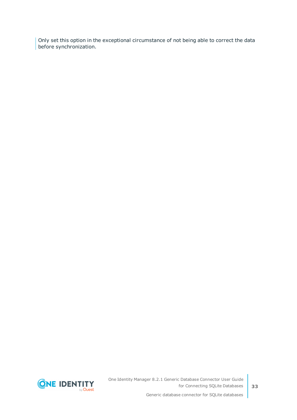Only set this option in the exceptional circumstance of not being able to correct the data before synchronization.

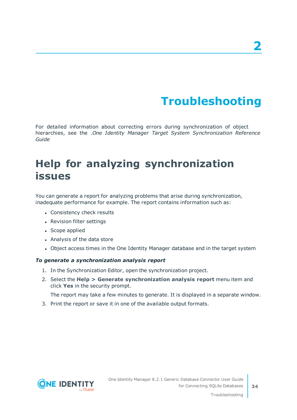# **Troubleshooting**

<span id="page-33-0"></span>For detailed information about correcting errors during synchronization of object hierarchies, see the .*One Identity Manager Target System Synchronization Reference Guide*

## <span id="page-33-1"></span>**Help for analyzing synchronization issues**

You can generate a report for analyzing problems that arise during synchronization, inadequate performance for example. The report contains information such as:

- Consistency check results
- Revision filter settings
- Scope applied
- Analysis of the data store
- Object access times in the One Identity Manager database and in the target system

### *To generate a synchronization analysis report*

- 1. In the Synchronization Editor, open the synchronization project.
- 2. Select the **Help > Generate synchronization analysis report** menu item and click **Yes** in the security prompt.

The report may take a few minutes to generate. It is displayed in a separate window.

3. Print the report or save it in one of the available output formats.

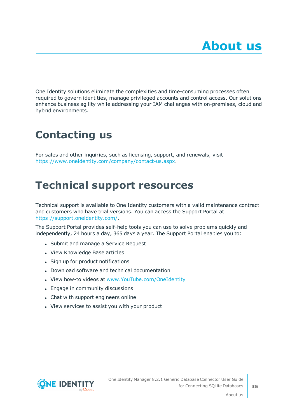<span id="page-34-0"></span>One Identity solutions eliminate the complexities and time-consuming processes often required to govern identities, manage privileged accounts and control access. Our solutions enhance business agility while addressing your IAM challenges with on-premises, cloud and hybrid environments.

# <span id="page-34-1"></span>**Contacting us**

For sales and other inquiries, such as licensing, support, and renewals, visit <https://www.oneidentity.com/company/contact-us.aspx>.

## <span id="page-34-2"></span>**Technical support resources**

Technical support is available to One Identity customers with a valid maintenance contract and customers who have trial versions. You can access the Support Portal at [https://support.oneidentity.com/.](https://support.oneidentity.com/)

The Support Portal provides self-help tools you can use to solve problems quickly and independently, 24 hours a day, 365 days a year. The Support Portal enables you to:

- Submit and manage a Service Request
- View Knowledge Base articles
- Sign up for product notifications
- Download software and technical documentation
- View how-to videos at [www.YouTube.com/OneIdentity](http://www.youtube.com/OneIdentity)
- Engage in community discussions
- Chat with support engineers online
- View services to assist you with your product

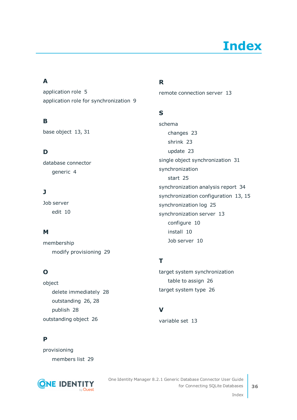# **Index**

### <span id="page-35-0"></span>**A**

application role [5](#page-4-0) application role for synchronization [9](#page-8-0)

### **B**

base object [13](#page-12-0), [31](#page-30-0)

### **D**

database connector generic [4](#page-3-0)

### **J**

Job server edit [10](#page-9-0)

### **M**

membership modify provisioning [29](#page-28-0)

### **O**

object delete immediately [28](#page-27-0) outstanding [26](#page-25-0), [28](#page-27-0) publish [28](#page-27-0) outstanding object [26](#page-25-0)

### **P**

provisioning members list [29](#page-28-0)



### **R**

remote connection server [13](#page-12-0)

### **S**

schema changes [23](#page-22-0) shrink [23](#page-22-0) update [23](#page-22-0) single object synchronization [31](#page-30-0) synchronization start [25](#page-24-0) synchronization analysis report [34](#page-33-1) synchronization configuration [13](#page-12-0), [15](#page-14-0) synchronization log [25](#page-24-1) synchronization server [13](#page-12-0) configure [10](#page-9-0) install [10](#page-9-0) Job server [10](#page-9-0)

### **T**

target system synchronization table to assign [26](#page-25-1) target system type [26](#page-25-1)

### **V**

variable set [13](#page-12-0)

Index